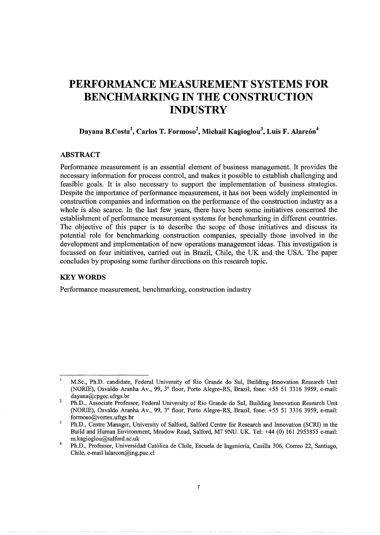# **PERFORMANCE MEASUREMENT SYSTEMS FOR BENCHMARKING IN THE CONSTRUCTION INDUSTRY**

# **Dayana B.Costa<sup>1</sup> , Carlos T. Formoso<sup>2</sup> , Michail Kagioglou<sup>3</sup> , Luis F. Alarc6n<sup>4</sup>**

# **ABSTRACT**

Performance measurement is an essential element of business management. It provides the necessary information for process control, and makes it possible to establish challenging and feasible goals. It is also necessary to support the implementation of business strategies. Despite the importance of performance measurement, it has not been widely implemented in construction companies and information on the performance of the construction industry as a whole is also scarce. In the last few years, there have been some initiatives concerned the establishment of performance measurement systems for benchmarking in different countries. The objective of this paper is to describe the scope of those initiatives and discuss its potential role for benchmarking construction companies, specially those involved in the development and implementation of new operations management ideas. This investigation is focussed on four initiatives, carried out in Brazil, Chile, the UK and the USA. The paper concludes by proposing some further directions on this research topic.

#### **KEYWORDS**

Performance measurement, benchmarking, construction industry

 $\mathbf{1}$ M.Sc., Ph.D. candidate, Federal University of Rio Grande do Sui, Building Innovation Research Unit (NORIE), Osvaldo Aranha Av., 99, 3° floor, Porto Alegre-RS, Brazil, fone: +55 51 3316 3959, e-mail: dayana@cpgec.ufrgs.br

 $\overline{2}$ Ph.D., Associate Professor, Federal University of Rio Grande do Sui, Building Innovation Research Unit (NORIE), Osvaldo Aranha Av., 99, 3° floor, Porto Alegre-RS, Brazil, fone: +55 51 3316 3959, e-mail: formoso@vortex.ufrgs.br

 $\overline{\mathbf{3}}$ Ph.D., Centre Manager, University of Salford, Salford Centre for Research and Innovation (SCRI) in the Build and Human Environment, Meadow Road, Salford, M7 9NU. UK. Tel: +44 (0) 161 2953855 e-mail: m.kagioglou@salford.ac.uk

<sup>4</sup>  Ph.D., Professor, Universidad Cat61ica de Chile, Escuela de lngenieria, Casilla 306, Correo 22, Santiago, Chile, e-mail lalarcon@ing.puc.cl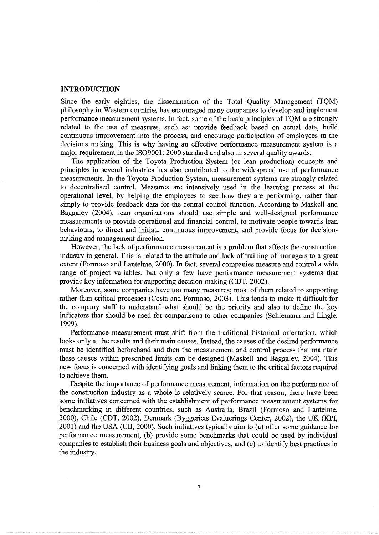### **INTRODUCTION**

Since the early eighties, the dissemination of the Total Quality Management (TQM) philosophy in Western countries has encouraged many companies to develop and implement performance measurement systems. In fact, some of the basic principles of TQM are strongly related to the use of measures, such as: provide feedback based on actual data, build continuous improvement into the process, and encourage participation of employees in the decisions making. This is why having an effective performance measurement system is a major requirement in the IS09001: 2000 standard and also in several quality awards.

The application of the Toyota Production System (or lean production) concepts and principles in several industries has also contributed to the widespread use of performance measurements. In the Toyota Production System, measurement systems are strongly related to decentralised control. Measures are intensively used in the learning process at the operational level, by helping the employees to see how they are performing, rather than simply to provide feedback data for the central control function. According to Maskell and Baggaley (2004), lean organizations should use simple and well-designed performance measurements to provide operational and financial control, to motivate people towards lean behaviours, to direct and initiate continuous improvement, and provide focus for decisionmaking and management direction.

However, the lack of performance measurement is a problem that affects the construction industry in general. This is related to the attitude and lack of training of managers to a great extent (Formoso and Lantelme, 2000). In fact, several companies measure and control a wide range of project variables, but only a few have performance measurement systems that provide key information for supporting decision-making (CDT, 2002).

Moreover, some companies have too many measures; most of them related to supporting rather than critical processes (Costa and Formoso, 2003). This tends to make it difficult for the company staff to understand what should be the priority and also to define the key indicators that should be used for comparisons to other companies (Schiemann and Lingle, 1999).

Performance measurement must shift from the traditional historical orientation, which looks only at the results and their main causes. Instead, the causes of the desired performance must be identified beforehand and then the measurement and control process that maintain these causes within prescribed limits can be designed (Maskell and Baggaley, 2004). This new focus is concerned with identifying goals and linking them to the critical factors required to achieve them.

Despite the importance of performance measurement, information on the performance of the construction industry as a whole is relatively scarce. For that reason, there have been some initiatives concerned with the establishment of performance measurement systems for benchmarking in different countries, such as Australia, Brazil (Formoso and Lantelme, 2000), Chile (CDT, 2002), Denmark (Byggeriets Evaluerings Center, 2002), the UK (KPI, 2001) and the USA (CII, 2000). Such initiatives typically aim to (a) offer some guidance for performance measurement, (b) provide some benchmarks that could be used by individual companies to establish their business goals and objectives, and (c) to identify best practices in the industry.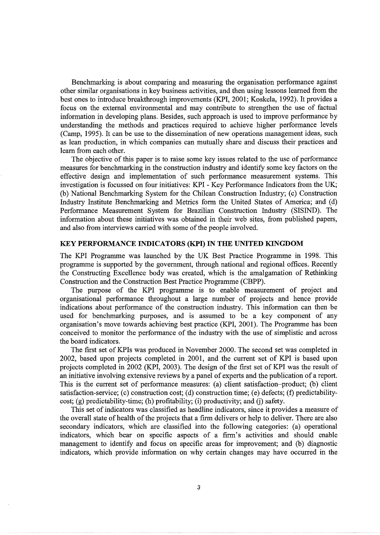Benchmarking is about comparing and measuring the organisation performance against other similar organisations in key business activities, and then using lessons learned from the best ones to introduce breakthrough improvements (KPI, 2001; Koskela, 1992). It provides a focus on the external environmental and may contribute to strengthen the use of factual information in developing plans. Besides, such approach is used to improve performance by understanding the methods and practices required to achieve higher performance levels (Camp, 1995). It can be use to the dissemination of new operations management ideas, such as lean production, in which companies can mutually share and discuss their practices and learn from each other.

The objective of this paper is to raise some key issues related to the use of performance measures for benchmarking in the construction industry and identify some key factors on the effective design and implementation of such performance measurement systems. This investigation is focussed on four initiatives: KPI - Key Performance Indicators from the UK; (b) National Benchmarking System for the Chilean Construction Industry; (c) Construction Industry Institute Benchmarking and Metrics form the United States of America; and (d) Performance Measurement System for Brazilian Construction Industry (SISIND). The information about these initiatives was obtained in their web sites, from published papers, and also from interviews carried with some of the people involved.

#### **KEY PERFORMANCE INDICATORS (KPI) IN THE UNITED KINGDOM**

The KPI Programme was launched by the UK Best Practice Programme in 1998. This programme is supported by the government, through national and regional offices. Recently the Constructing Excellence body was created, which is the amalgamation of Rethinking Construction and the Construction Best Practice Programme (CBPP).

The purpose of the KPI programme is to enable measurement of project and organisational performance throughout a large number of projects and hence provide indications about performance of the construction industry. This information can then be used for benchmarking purposes, and is assumed to be a key component of any organisation's move towards achieving best practice (KPI, 2001). The Programme has been conceived to monitor the performance of the industry with the use of simplistic and across the board indicators.

The first set of KPIs was produced in November 2000. The second set was completed in 2002, based upon projects completed in 2001, and the current set of KPI is based upon projects completed in 2002 (KPI, 2003). The design of the first set of KPI was the result of an initiative involving extensive reviews by a panel of experts and the publication of a report. This is the current set of performance measures: (a) client satisfaction-product; (b) client satisfaction-service; (c) construction cost; (d) construction time; (e) defects; (f) predictability $cost$ ; (g) predictability-time; (h) profitability; (i) productivity; and (j) safety.

This set of indicators was classified as headline indicators, since it provides a measure of the overall state of health of the projects that a firm delivers or help to deliver. There are also secondary indicators, which are classified into the following categories: (a) operational indicators, which bear on specific aspects of a firm's activities and should enable management to identify and focus on specific areas for improvement; and (b) diagnostic indicators, which provide information on why certain changes may have occurred in the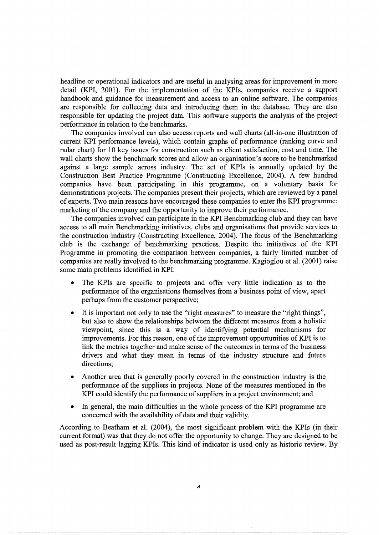headline or operational indicators and are useful in analysing areas for improvement in more detail (KPI, 2001). For the implementation of the KPIs, companies receive a support handbook and guidance for measurement and access to an online software. The companies are responsible for collecting data and introducing them in the database. They are also responsible for updating the project data. This software supports the analysis of the project performance in relation to the benchmarks.

The companies involved can also access reports and wall charts (ali-in-one illustration of current KPI performance levels), which contain graphs of performance (ranking curve and radar chart) for 10 key issues for construction such as client satisfaction, cost and time. The wall charts show the benchmark scores and allow an organisation's score to be benchmarked against a large sample across industry. The set of KPis is annually updated by the Construction Best Practice Programme (Constructing Excellence, 2004). A few hundred companies have been participating in this programme, on a voluntary basis for demonstrations projects. The companies present their projects, which are reviewed by a panel of experts. Two main reasons have encouraged these companies to enter the KPI programme: marketing of the company and the opportunity to improve their performance.

The companies involved can participate in the KPI Benchmarking club and they can have access to all main Benchmarking initiatives, clubs and organisations that provide services to the construction industry (Constructing Excellence, 2004). The focus of the Benchmarking club is the exchange of benchmarking practices. Despite the initiatives of the KPI Programme in promoting the comparison between companies, a fairly limited number of companies are really involved to the benchmarking programme. Kagioglou et al. (2001) raise some main problems identified in KPI:

- The KPIs are specific to projects and offer very little indication as to the performance of the organisations themselves from a business point of view, apart perhaps from the customer perspective;
- It is important not only to use the "right measures" to measure the "right things", but also to show the relationships between the different measures from a holistic viewpoint, since this is a way of identifying potential mechanisms for improvements. For this reason, one of the improvement opportunities of KPI is to link the metrics together and make sense of the outcomes in terms of the business drivers and what they mean in terms of the industry structure and future directions;
- Another area that is generally poorly covered in the construction industry is the performance of the suppliers in projects. None of the measures mentioned in the KPI could identify the performance of suppliers in a project environment; and
- In general, the main difficulties in the whole process of the KPI programme are concerned with the availability of data and their validity.

According to Beatham et al. (2004), the most significant problem with the KPis (in their current format) was that they do not offer the opportunity to change. They are designed to be used as post-result lagging KPis. This kind of indicator is used only as historic review. By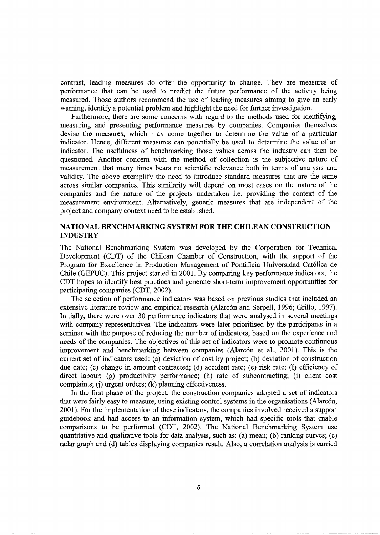contrast, leading measures do offer the opportunity to change. They are measures of performance that can be used to predict the future performance of the activity being measured. Those authors recommend the use of leading measures aiming to give an early warning, identify a potential problem and highlight the need for further investigation.

Furthermore, there are some concerns with regard to the methods used for identifying, measuring and presenting performance measures by companies. Companies themselves devise the measures, which may come together to determine the value of a particular indicator. Hence, different measures can potentially be used to determine the value of an indicator. The usefulness of benchmarking those values across the industry can then be questioned. Another concern with the method of collection is the subjective nature of measurement that many times bears no scientific relevance both in terms of analysis and validity. The above exemplify the need to introduce standard measures that are the same across similar companies. This similarity will depend on most cases on the nature of the companies and the nature of the projects undertaken i.e. providing the context of the measurement environment. Alternatively, generic measures that are independent of the project and company context need to be established.

# **NATIONAL BENCHMARKING SYSTEM FOR THE CHILEAN CONSTRUCTION INDUSTRY**

The National Benchmarking System was developed by the Corporation for Technical Development (CDT) of the Chilean Chamber of Construction, with the support of the Program for Excellence in Production Management of Pontificia Universidad Catolica de Chile (GEPUC). This project started in 2001. By comparing key performance indicators, the CDT hopes to identify best practices and generate short-term improvement opportunities for participating companies (CDT, 2002).

The selection of performance indicators was based on previous studies that included an extensive literature review and empirical research (Alarcón and Serpell, 1996; Grillo, 1997). Initially, there were over 30 performance indicators that were analysed in several meetings with company representatives. The indicators were later prioritised by the participants in a seminar with the purpose of reducing the number of indicators, based on the experience and needs of the companies. The objectives of this set of indicators were to promote continuous improvement and benchmarking between companies (Alarcon et al., 2001). This is the current set of indicators used: (a) deviation of cost by project; (b) deviation of construction due date; (c) change in amount contracted; (d) accident rate; (e) risk rate; (f) efficiency of direct labour; (g) productivity performance; (h) rate of subcontracting; (i) client cost complaints; (j) urgent orders; (k) planning effectiveness.

In the first phase of the project, the construction companies adopted a set of indicators that were fairly easy to measure, using existing control systems in the organisations (Alarcon, 2001). For the implementation of these indicators, the companies involved received a support guidebook and had access to an information system, which had specific tools that enable comparisons to be performed (CDT, 2002). The National Benchmarking System use quantitative and qualitative tools for data analysis, such as: (a) mean; (b) ranking curves; (c) radar graph and (d) tables displaying companies result. Also, a correlation analysis is carried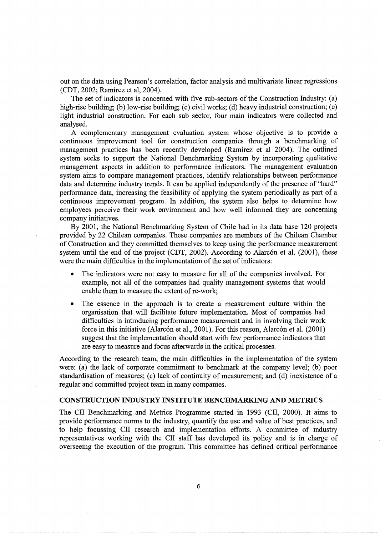out on the data using Pearson's correlation, factor analysis and multivariate linear regressions (CDT, 2002; Ramirez et al, 2004).

The set of indicators is concerned with five sub-sectors of the Construction Industry: (a) high-rise building; (b) low-rise building; (c) civil works; (d) heavy industrial construction; (e) light industrial construction. For each sub sector, four main indicators were collected and analysed.

A complementary management evaluation system whose objective is to provide a continuous improvement tool for construction companies through a benchmarking of management practices has been recently developed (Ramirez et al 2004). The outlined system seeks to support the National Benchmarking System by incorporating qualitative management aspects in addition to performance indicators. The management evaluation system aims to compare management practices, identify relationships between performance data and determine industry trends. It can be applied independently of the presence of "hard" performance data, increasing the feasibility of applying the system periodically as part of a continuous improvement program. In addition, the system also helps to determine how employees perceive their work environment and how well informed they are concerning company initiatives.

By 2001, the National Benchmarking System of Chile had in its data base 120 projects provided by 22 Chilean companies. These companies are members of the Chilean Chamber of Construction and they committed themselves to keep using the performance measurement system until the end of the project (CDT, 2002). According to Alarcón et al. (2001), these were the main difficulties in the implementation of the set of indicators:

- The indicators were not easy to measure for all of the companies involved. For example, not all of the companies had quality management systems that would enable them to measure the extent of re-work;
- The essence in the approach is to create a measurement culture within the organisation that will facilitate future implementation. Most of companies had difficulties in introducing performance measurement and in involving their work force in this initiative (Alarcón et al., 2001). For this reason, Alarcón et al. (2001) suggest that the implementation should start with few performance indicators that are easy to measure and focus afterwards in the critical processes.

According to the research team, the main difficulties in the implementation of the system were: (a) the lack of corporate commitment to benchmark at the company level; (b) poor standardisation of measures; (c) lack of continuity of measurement; and (d) inexistence of a regular and committed project team in many companies.

#### **CONSTRUCTION INDUSTRY INSTITUTE BENCHMARKING AND METRICS**

The CII Benchmarking and Metrics Programme started in 1993 (CII, 2000). It aims to provide performance norms to the industry, quantify the use and value of best practices, and to help focussing CII research and implementation efforts. A committee of industry representatives working with the CII staff has developed its policy and is in charge of overseeing the execution of the program. This committee has defined critical performance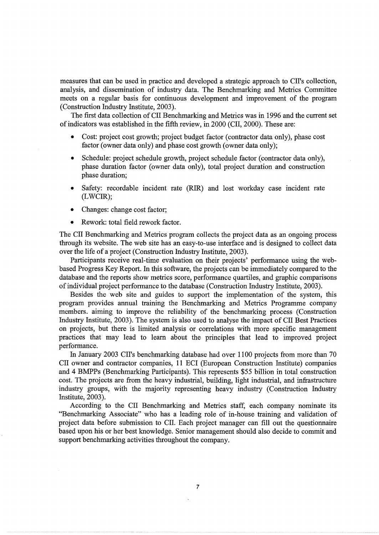measures that can be used in practice and developed a strategic approach to CII's collection, analysis, and dissemination of industry data. The Benchmarking and Metrics Committee meets on a regular basis for continuous development and improvement of the program (Construction Industry Institute, 2003).

The first data collection of CII Benchmarking and Metrics was in 1996 and the current set of indicators was established in the fifth review, in 2000 (CII, 2000). These are:

- Cost: project cost growth; project budget factor (contractor data only), phase cost factor (owner data only) and phase cost growth (owner data only);
- Schedule: project schedule growth, project schedule factor (contractor data only), phase duration factor (owner data only), total project duration and construction phase duration;
- Safety: recordable incident rate (RIR) and lost workday case incident rate (LWCIR);
- Changes: change cost factor;
- Rework: total field rework factor.

The CII Benchmarking and Metrics program collects the project data as an ongoing process through its website. The web site has an easy-to-use interface and is designed to collect data over the life of a project (Construction Industry Institute, 2003).

Participants receive real-time evaluation on their projects' performance using the webbased Progress Key Report. In this software, the projects can be immediately compared to the database and the reports show metrics score, performance quartiles, and graphic comparisons of individual project performance to the database (Construction Industry Institute, 2003).

Besides the web site and guides to support the implementation of the system, this program provides annual training the Benchmarking and Metrics Programme company members. aiming to improve the reliability of the benchmarking process (Construction Industry Institute, 2003). The system is also used to analyse the impact of CII Best Practices on projects, but there is limited analysis or correlations with more specific management practices that may lead to learn about the principles that lead to improved project performance.

In January 2003 CII's benchmarking database had over 1100 projects from more than 70 CII owner and contractor companies, 11 ECI (European Construction Institute) companies and 4 BMPPs (Benchmarking Participants). This represents \$55 billion in total construction cost. The projects are from the heavy industrial, building, light industrial, and infrastructure industry groups, with the majority representing heavy industry (Construction Industry Institute, 2003).

According to the CII Benchmarking and Metrics staff, each company nominate its "Benchmarking Associate" who has a leading role of in-house training and validation of project data before submission to CII. Each project manager can fill out the questionnaire based upon his or her best knowledge. Senior management should also decide to commit and support benchmarking activities throughout the company.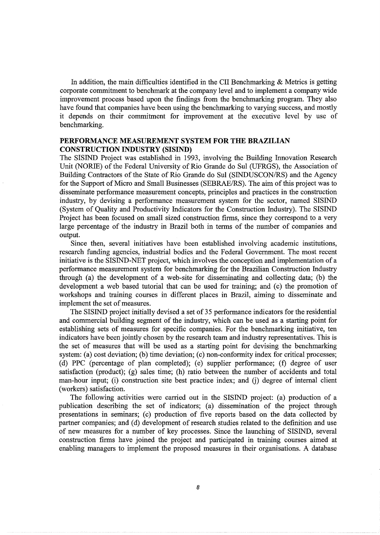In addition, the main difficulties identified in the CII Benchmarking  $\&$  Metrics is getting corporate commitment to benchmark at the company level and to implement a company wide improvement process based upon the findings from the benchmarking program. They also have found that companies have been using the benchmarking to varying success, and mostly it depends on their commitment for improvement at the executive level by use of benchmarking.

# **PERFORMANCE MEASUREMENT SYSTEM FOR THE BRAZILIAN CONSTRUCTION INDUSTRY (SISIND)**

The SISIND Project was established in 1993, involving the Building Innovation Research Unit (NORIE) of the Federal University of Rio Grande do Sui (UFRGS), the Association of Building Contractors of the State of Rio Grande do Sui (SINDUSCON/RS) and the Agency for the Support of Micro and Small Businesses (SEBRAE/RS). The aim of this project was to disseminate performance measurement concepts, principles and practices in the construction industry, by devising a performance measurement system for the sector, named SISIND (System of Quality and Productivity Indicators for the Construction Industry). The SISIND Project has been focused on small sized construction firms, since they correspond to a very large percentage of the industry in Brazil both in terms of the number of companies and output.

Since then, several initiatives have been established involving academic institutions, research funding agencies, industrial bodies and the Federal Government. The most recent initiative is the SISIND-NET project, which involves the conception and implementation of a performance measurement system for benchmarking for the Brazilian Construction Industry through (a) the development of a web-site for disseminating and collecting data; (b) the development a web based tutorial that can be used for training; and (c) the promotion of workshops and training courses in different places in Brazil, aiming to disseminate and implement the set of measures.

The SISIND project initially devised a set of 35 performance indicators for the residential and commercial building segment of the industry, which can be used as a starting point for establishing sets of measures for specific companies. For the benchmarking initiative, ten indicators have been jointly chosen by the research team and industry representatives. This is the set of measures that will be used as a starting point for devising the benchmarking system: (a) cost deviation; (b) time deviation; (c) non-conformity index for critical processes; (d) PPC (percentage of plan completed); (e) supplier performance; (f) degree of user satisfaction (product); (g) sales time; (h) ratio between the number of accidents and total man-hour input; (i) construction site best practice index; and (j) degree of internal client (workers) satisfaction.

The following activities were carried out in the SISIND project: (a) production of a publication describing the set of indicators; (a) dissemination of the project through presentations in seminars; (c) production of five reports based on the data collected by partner companies; and (d) development of research studies related to the definition and use of new measures for a number of key processes. Since the launching of SISIND, several construction firms have joined the project and participated in training courses aimed at enabling managers to implement the proposed measures in their organisations. A database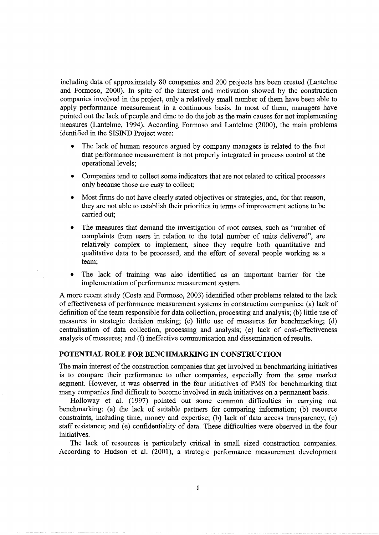including data of approximately 80 companies and 200 projects has been created (Lantelme and Formoso, 2000). In spite of the interest and motivation showed by the construction companies involved in the project, only a relatively small number of them have been able to apply performance measurement in a continuous basis. In most of them, managers have pointed out the lack of people and time to do the job as the main causes for not implementing measures (Lantelme, 1994). According Formoso and Lantelme (2000), the main problems identified in the SISIND Project were:

- The lack of human resource argued by company managers is related to the fact that performance measurement is not properly integrated in process control at the operational levels;
- Companies tend to collect some indicators that are not related to critical processes only because those are easy to collect;
- Most firms do not have clearly stated objectives or strategies, and, for that reason, they are not able to establish their priorities in terms of improvement actions to be carried out;
- The measures that demand the investigation of root causes, such as "number of complaints from users in relation to the total number of units delivered", are relatively complex to implement, since they require both quantitative and qualitative data to be processed, and the effort of several people working as a team;
- The lack of training was also identified as an important barrier for the implementation of performance measurement system.

A more recent study (Costa and Formoso, 2003) identified other problems related to the lack of effectiveness of performance measurement systems in construction companies: (a) lack of definition of the team responsible for data collection, processing and analysis; (b) little use of measures in strategic decision making; (c) little use of measures for benchmarking; (d) centralisation of data collection, processing and analysis; (e) lack of cost-effectiveness analysis of measures; and (f) ineffective communication and dissemination of results.

# **POTENTIAL ROLE FOR BENCHMARKING IN CONSTRUCTION**

The main interest of the construction companies that get involved in benchmarking initiatives is to compare their performance to other companies, especially from the same market segment. However, it was observed in the four initiatives of PMS for benchmarking that many companies find difficult to become involved in such initiatives on a permanent basis.

Holloway et al. (1997) pointed out some common difficulties in carrying out benchmarking: (a) the lack of suitable partners for comparing information; (b) resource constraints, including time, money and expertise; (b) lack of data access transparency; (c) staff resistance; and (e) confidentiality of data. These difficulties were observed in the four initiatives.

The lack of resources is particularly critical in small sized construction companies. According to Hudson et al. (2001), a strategic performance measurement development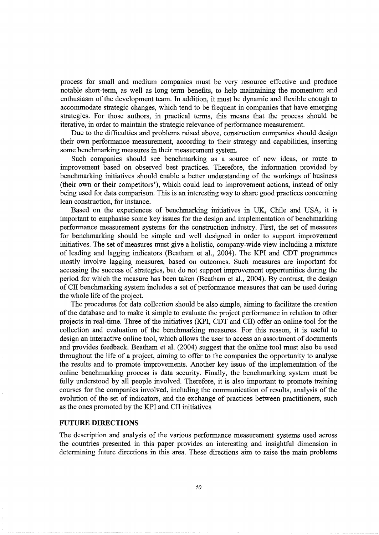process for small and medium companies must be very resource effective and produce notable short-term, as well as long term benefits, to help maintaining the momentum and enthusiasm of the development team. In addition, it must be dynamic and flexible enough to accommodate strategic changes, which tend to be frequent in companies that have emerging strategies. For those authors, in practical terms, this means that the process should be iterative, in order to maintain the strategic relevance of performance measurement.

Due to the difficulties and problems raised above, construction companies should design their own performance measurement, according to their strategy and capabilities, inserting some benchmarking measures in their measurement system.

Such companies should see benchmarking as a source of new ideas, or route to improvement based on observed best practices. Therefore, the information provided by benchmarking initiatives should enable a better understanding of the workings of business (their own or their competitors'), which could lead to improvement actions, instead of only being used for data comparison. This is an interesting way to share good practices concerning lean construction, for instance.

Based on the experiences of benchmarking initiatives in UK, Chile and USA, it is important to emphasise some key issues for the design and implementation of benchmarking performance measurement systems for the construction industry. First, the set of measures for benchmarking should be simple and well designed in order to support improvement initiatives. The set of measures must give a holistic, company-wide view including a mixture of leading and lagging indicators (Beatham et al., 2004). The KPI and CDT programmes mostly involve lagging measures, based on outcomes. Such measures are important for accessing the success of strategies, but do not support improvement opportunities during the period for which the measure has been taken (Beatham et al., 2004). By contrast, the design of en benchmarking system includes a set of performance measures that can be used during the whole life of the project.

The procedures for data collection should be also simple, aiming to facilitate the creation of the database and to make it simple to evaluate the project performance in relation to other projects in real-time. Three of the initiatives (KPI, CDT and CII) offer an online tool for the collection and evaluation of the benchmarking measures. For this reason, it is useful to design an interactive online tool, which allows the user to access an assortment of documents and provides feedback. Beatham et al. (2004) suggest that the online tool must also be used throughout the life of a project, aiming to offer to the companies the opportunity to analyse the results and to promote improvements. Another key issue of the implementation of the online benchmarking process is data security. Finally, the benchmarking system must be fully understood by all people involved. Therefore, it is also important to promote training courses for the companies involved, including the communication of results, analysis of the evolution of the set of indicators, and the exchange of practices between practitioners, such as the ones promoted by the KPI and CII initiatives

#### **FUTURE DIRECTIONS**

The description and analysis of the various performance measurement systems used across the countries presented in this paper provides an interesting and insightful dimension in determining future directions in this area. These directions aim to raise the main problems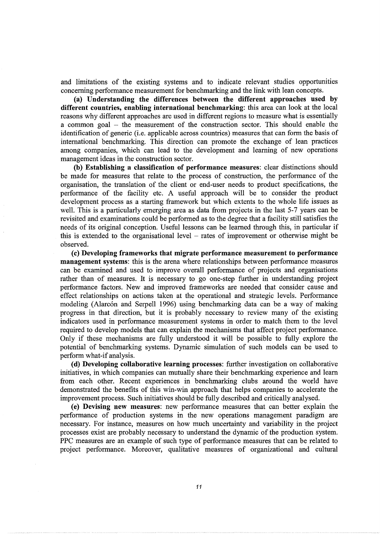and limitations of the existing systems and to indicate relevant studies opportunities concerning performance measurement for benchmarking and the link with lean concepts.

(a) Understanding the differences between the different approaches used by different countries, enabling international benchmarking: this area can look at the local reasons why different approaches are used in different regions to measure what is essentially a common goal - the measurement of the construction sector. This should enable the identification of generic (i.e. applicable across countries) measures that can form the basis of international benchmarking. This direction can promote the exchange of lean practices among companies, which can lead to the development and learning of new operations management ideas in the construction sector.

(b) Establishing a classification of performance measures: clear distinctions should be made for measures that relate to the process of construction, the performance of the organisation, the translation of the client or end-user needs to product specifications, the performance of the facility etc. A useful approach will be to consider the product development process as a starting framework but which extents to the whole life issues as well. This is a particularly emerging area as data from projects in the last 5-7 years can be revisited and examinations could be performed as to the degree that a facility still satisfies the needs of its original conception. Useful lessons can be learned through this, in particular if this is extended to the organisational level  $-$  rates of improvement or otherwise might be observed.

(c) Developing frameworks that migrate performance measurement to performance management systems: this is the arena where relationships between performance measures can be examined and used to improve overall performance of projects and organisations rather than of measures. It is necessary to go one-step further in understanding project performance factors. New and improved frameworks are needed that consider cause and effect relationships on actions taken at the operational and strategic levels. Performance modeling (Alarcón and Serpell 1996) using benchmarking data can be a way of making progress in that direction, but it is probably necessary to review many of the existing indicators used in performance measurement systems in order to match them to the level required to develop models that can explain the mechanisms that affect project performance. Only if these mechanisms are fully understood it will be possible to fully explore the potential of benchmarking systems. Dynamic simulation of such models can be used to perform what-if analysis.

(d) Developing collaborative learning processes: further investigation on collaborative initiatives, in which companies can mutually share their benchmarking experience and learn from each other. Recent experiences in benchmarking clubs around the world have demonstrated the benefits of this win-win approach that helps companies to accelerate the improvement process. Such initiatives should be fully described and critically analysed.

(e) Devising new measures: new performance measures that can better explain the performance of production systems in the new operations management paradigm are necessary. For instance, measures on how much uncertainty and variability in the project processes exist are probably necessary to understand the dynamic of the production system. PPC measures are an example of such type of performance measures that can be related to project performance. Moreover, qualitative measures of organizational and cultural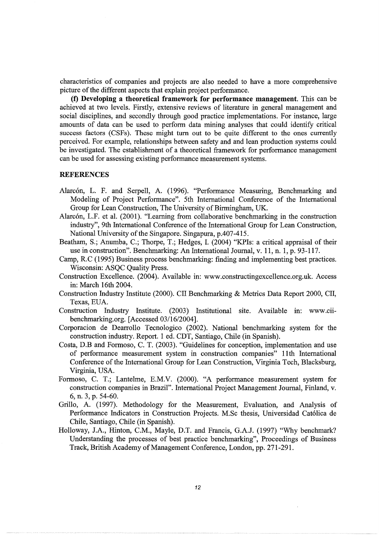characteristics of companies and projects are also needed to have a more comprehensive picture of the different aspects that explain project performance.

**(f) Developing a theoretical framework for performance management.** This can be achieved at two levels. Firstly, extensive reviews of literature in general management and social disciplines, and secondly through good practice implementations. For instance, large amounts of data can be used to perform data mining analyses that could identify critical success factors (CSFs). These might tum out to be quite different to the ones currently perceived. For example, relationships between safety and and lean production systems could be investigated. The establishment of a theoretical framework for performance management can be used for assessing existing performance measurement systems.

#### **REFERENCES**

- Alarcón, L. F. and Serpell, A. (1996). "Performance Measuring, Benchmarking and Modeling of Project Performance". 5th International Conference of the International Group for Lean Construction, The University of Birmingham, UK.
- Alarcón, L.F. et al. (2001). "Learning from collaborative benchmarking in the construction industry", 9th International Conference of the International Group for Lean Construction, National University of the Singapore. Singapura, p.407-415.
- Beatham, S.; Anumba, C.; Thorpe, T.; Hedges, I. (2004) "KPis: a critical appraisal of their use in construction". Benchmarking: An International Journal, v. 11, n. 1, p. 93-117.
- Camp, R.C (1995) Business process benchmarking: finding and implementing best practices. Wisconsin: ASQC Quality Press.
- Construction Excellence. (2004). Available in: www.constructingexcellence.org.uk. Access in: March 16th 2004.
- Construction Industry Institute (2000). CII Benchmarking & Metrics Data Report 2000, CII, Texas, EUA.
- Construction Industry Institute. (2003) Institutional site. Available in: www.ciibenchmarking.org. [Accessed 03/16/2004].
- Corporacion de Dearrollo Tecnologico (2002). National benchmarking system for the construction industry. Report. 1 ed. CDT, Santiago, Chile (in Spanish).
- Costa, D.B and Formoso, C. T. (2003). "Guidelines for conception, implementation and use of performance measurement system in construction companies" 11th International Conference of the International Group for Lean Construction, Virginia Tech, Blacksburg, Virginia, USA.
- Formoso, C. T.; Lantelme, E.M.V. (2000). "A performance measurement system for construction companies in Brazil". International Project Management Journal, Finland, v. 6, n. 3, p. 54-60.
- Grillo, A. (1997). Methodology for the Measurement, Evaluation, and Analysis of Performance Indicators in Construction Projects. M.Sc thesis, Universidad Catolica de Chile, Santiago, Chile (in Spanish).
- Holloway, J.A., Hinton, C.M., Mayle, D.T. and Francis, G.A.J. (1997) "Why benchmark? Understanding the processes of best practice benchmarking", Proceedings of Business Track, British Academy of Management Conference, London, pp. 271-291.